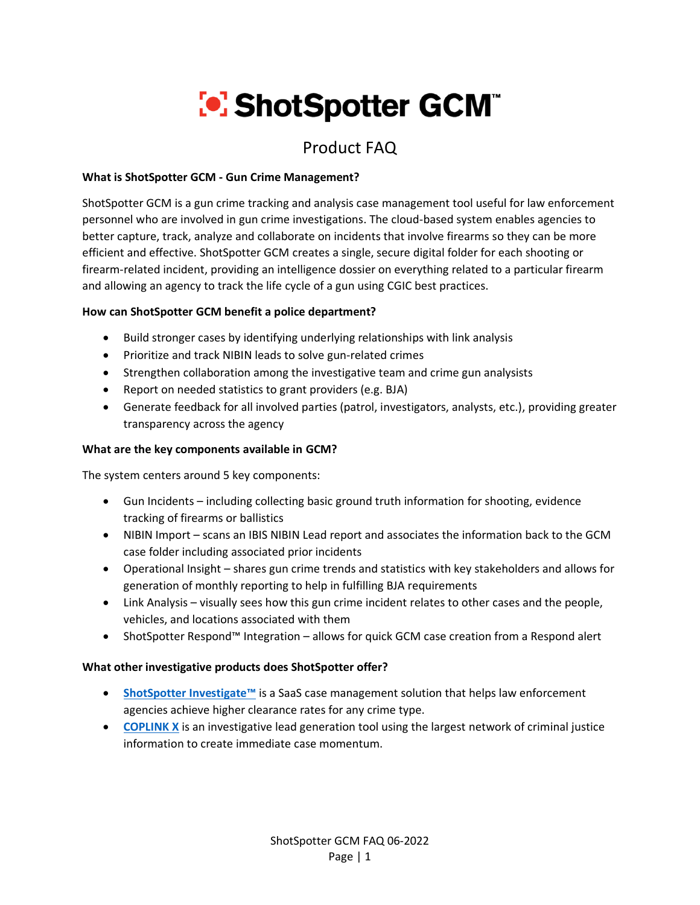# **[•] ShotSpotter GCM**

# Product FAQ

# **What is ShotSpotter GCM - Gun Crime Management?**

ShotSpotter GCM is a gun crime tracking and analysis case management tool useful for law enforcement personnel who are involved in gun crime investigations. The cloud-based system enables agencies to better capture, track, analyze and collaborate on incidents that involve firearms so they can be more efficient and effective. ShotSpotter GCM creates a single, secure digital folder for each shooting or firearm-related incident, providing an intelligence dossier on everything related to a particular firearm and allowing an agency to track the life cycle of a gun using CGIC best practices.

# **How can ShotSpotter GCM benefit a police department?**

- Build stronger cases by identifying underlying relationships with link analysis
- Prioritize and track NIBIN leads to solve gun-related crimes
- Strengthen collaboration among the investigative team and crime gun analysists
- Report on needed statistics to grant providers (e.g. BJA)
- Generate feedback for all involved parties (patrol, investigators, analysts, etc.), providing greater transparency across the agency

# **What are the key components available in GCM?**

The system centers around 5 key components:

- Gun Incidents including collecting basic ground truth information for shooting, evidence tracking of firearms or ballistics
- NIBIN Import scans an IBIS NIBIN Lead report and associates the information back to the GCM case folder including associated prior incidents
- Operational Insight shares gun crime trends and statistics with key stakeholders and allows for generation of monthly reporting to help in fulfilling BJA requirements
- Link Analysis visually sees how this gun crime incident relates to other cases and the people, vehicles, and locations associated with them
- ShotSpotter Respond™ Integration allows for quick GCM case creation from a Respond alert

## **What other investigative products does ShotSpotter offer?**

- **[ShotSpotter Investigate](https://www.shotspotter.com/law-enforcement/investigate/)™** is a SaaS case management solution that helps law enforcement agencies achieve higher clearance rates for any crime type.
- **[COPLINK](https://www.shotspotter.com/law-enforcement/coplink-x/) X** is an investigative lead generation tool using the largest network of criminal justice information to create immediate case momentum.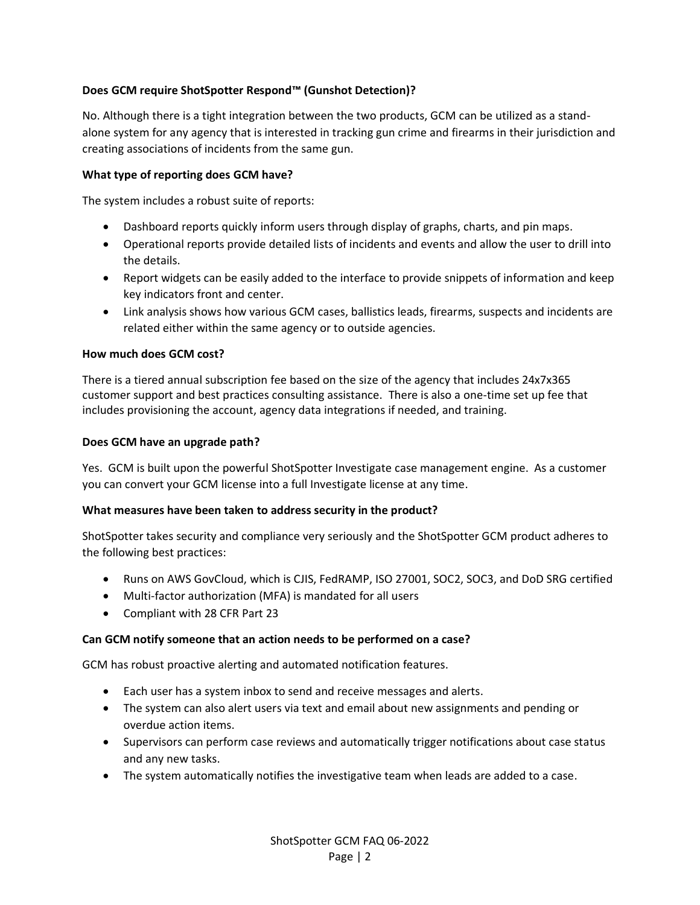## **Does GCM require ShotSpotter Respond™ (Gunshot Detection)?**

No. Although there is a tight integration between the two products, GCM can be utilized as a standalone system for any agency that is interested in tracking gun crime and firearms in their jurisdiction and creating associations of incidents from the same gun.

#### **What type of reporting does GCM have?**

The system includes a robust suite of reports:

- Dashboard reports quickly inform users through display of graphs, charts, and pin maps.
- Operational reports provide detailed lists of incidents and events and allow the user to drill into the details.
- Report widgets can be easily added to the interface to provide snippets of information and keep key indicators front and center.
- Link analysis shows how various GCM cases, ballistics leads, firearms, suspects and incidents are related either within the same agency or to outside agencies.

#### **How much does GCM cost?**

There is a tiered annual subscription fee based on the size of the agency that includes 24x7x365 customer support and best practices consulting assistance. There is also a one-time set up fee that includes provisioning the account, agency data integrations if needed, and training.

#### **Does GCM have an upgrade path?**

Yes. GCM is built upon the powerful ShotSpotter Investigate case management engine. As a customer you can convert your GCM license into a full Investigate license at any time.

#### **What measures have been taken to address security in the product?**

ShotSpotter takes security and compliance very seriously and the ShotSpotter GCM product adheres to the following best practices:

- Runs on AWS GovCloud, which is CJIS, FedRAMP, ISO 27001, SOC2, SOC3, and DoD SRG certified
- Multi-factor authorization (MFA) is mandated for all users
- Compliant with 28 CFR Part 23

#### **Can GCM notify someone that an action needs to be performed on a case?**

GCM has robust proactive alerting and automated notification features.

- Each user has a system inbox to send and receive messages and alerts.
- The system can also alert users via text and email about new assignments and pending or overdue action items.
- Supervisors can perform case reviews and automatically trigger notifications about case status and any new tasks.
- The system automatically notifies the investigative team when leads are added to a case.